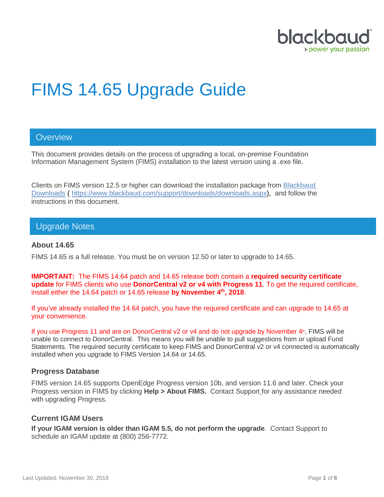

# FIMS 14.65 Upgrade Guide

## **Overview**

This document provides details on the process of upgrading a local, on-premise Foundation Information Management System (FIMS) installation to the latest version using a .exe file.

Clients on FIMS version 12.5 or higher can download the installation package from [Blackbaud](https://www.blackbaud.com/support/downloads/downloads.aspx)  [Downloads](https://www.blackbaud.com/support/downloads/downloads.aspx) ( [https://www.blackbaud.com/support/downloads/downloads.aspx\)](https://www.blackbaud.com/support/downloads/downloads.aspx), and follow the instructions in this document.

## Upgrade Notes

#### **About 14.65**

FIMS 14.65 is a full release. You must be on version 12.50 or later to upgrade to 14.65.

**IMPORTANT:** The FIMS 14.64 patch and 14.65 release both contain a **required security certificate update** for FIMS clients who use **DonorCentral v2 or v4 with Progress 11**. To get the required certificate, install either the 14.64 patch or 14.65 release **by November 4th, 2018**.

If you've already installed the 14.64 patch, you have the required certificate and can upgrade to 14.65 at your convenience.

If you use Progress 11 and are on DonorCentral v2 or v4 and do not upgrade by November 4<sup>th</sup>, FIMS will be unable to connect to DonorCentral. This means you will be unable to pull suggestions from or upload Fund Statements. The required security certificate to keep FIMS and DonorCentral v2 or v4 connected is automatically installed when you upgrade to FIMS Version 14.64 or 14.65.

#### **Progress Database**

FIMS version 14.65 supports OpenEdge Progress version 10b, and version 11.6 and later. Check your Progress version in FIMS by clicking **Help > About FIMS.** Contact Support for any assistance needed with upgrading Progress.

#### **Current IGAM Users**

**If your IGAM version is older than IGAM 5.5, do not perform the upgrade**. Contact Support to schedule an IGAM update at (800) 256-7772.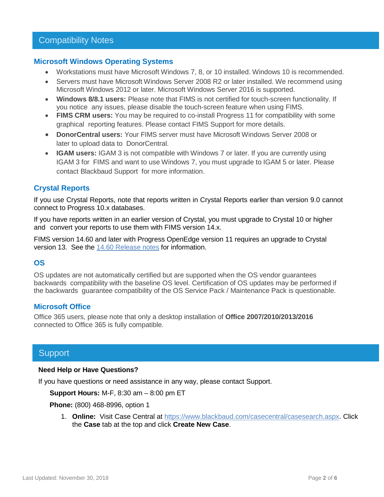#### **Microsoft Windows Operating Systems**

- Workstations must have Microsoft Windows 7, 8, or 10 installed. Windows 10 is recommended.
- Servers must have Microsoft Windows Server 2008 R2 or later installed. We recommend using Microsoft Windows 2012 or later. Microsoft Windows Server 2016 is supported.
- **Windows 8/8.1 users:** Please note that FIMS is not certified for touch-screen functionality. If you notice any issues, please disable the touch-screen feature when using FIMS.
- **FIMS CRM users:** You may be required to co-install Progress 11 for compatibility with some graphical reporting features. Please contact FIMS Support for more details.
- **DonorCentral users:** Your FIMS server must have Microsoft Windows Server 2008 or later to upload data to DonorCentral.
- **IGAM users:** IGAM 3 is not compatible with Windows 7 or later. If you are currently using IGAM 3 for FIMS and want to use Windows 7, you must upgrade to IGAM 5 or later. Please contact Blackbaud Support for more information.

## **Crystal Reports**

If you use Crystal Reports, note that reports written in Crystal Reports earlier than version 9.0 cannot connect to Progress 10.x databases.

If you have reports written in an earlier version of Crystal, you must upgrade to Crystal 10 or higher and convert your reports to use them with FIMS version 14.x.

FIMS version 14.60 and later with Progress OpenEdge version 11 requires an upgrade to Crystal version 13. See the 14.60 [Release notes](https://www.blackbaud.com/files/support/guides/microedge/fims/fims1460update_releasenotes.pdf) for information.

## **OS**

OS updates are not automatically certified but are supported when the OS vendor guarantees backwards compatibility with the baseline OS level. Certification of OS updates may be performed if the backwards guarantee compatibility of the OS Service Pack / Maintenance Pack is questionable.

### **Microsoft Office**

Office 365 users, please note that only a desktop installation of **Office 2007/2010/2013/2016** connected to Office 365 is fully compatible.

## **Support**

#### **Need Help or Have Questions?**

If you have questions or need assistance in any way, please contact Support.

**Support Hours:** M-F, 8:30 am – 8:00 pm ET

**Phone:** (800) 468-8996, option 1

1. **Online:** Visit Case Central at [https://www.blackbaud.com/casecentral/casesearch.aspx.](https://www.blackbaud.com/casecentral/casesearch.aspx) Click the **Case** tab at the top and click **Create New Case**.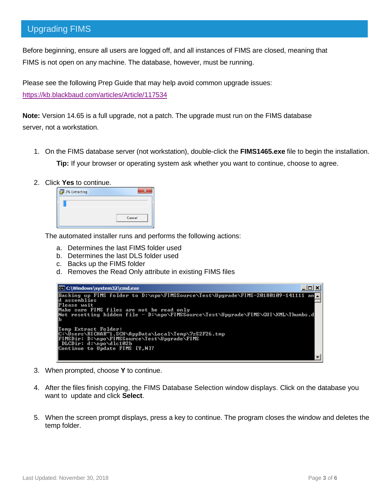## Upgrading FIMS

Before beginning, ensure all users are logged off, and all instances of FIMS are closed, meaning that FIMS is not open on any machine. The database, however, must be running.

Please see the following Prep Guide that may help avoid common upgrade issues:

<https://kb.blackbaud.com/articles/Article/117534>

**Note:** Version 14.65 is a full upgrade, not a patch. The upgrade must run on the FIMS database server, not a workstation.

- 1. On the FIMS database server (not workstation), double-click the **FIMS1465.exe** file to begin the installation. **Tip:** If your browser or operating system ask whether you want to continue, choose to agree.
- 2. Click **Yes** to continue.

| Cancel |
|--------|

The automated installer runs and performs the following actions:

- a. Determines the last FIMS folder used
- b. Determines the last DLS folder used
- c. Backs up the FIMS folder
- d. Removes the Read Only attribute in existing FIMS files



- 3. When prompted, choose **Y** to continue.
- 4. After the files finish copying, the FIMS Database Selection window displays. Click on the database you want to update and click **Select**.
- 5. When the screen prompt displays, press a key to continue. The program closes the window and deletes the temp folder.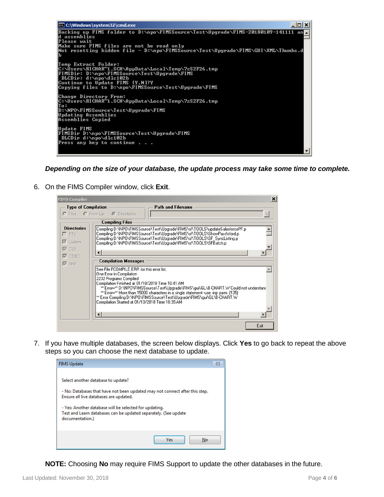

*Depending on the size of your database, the update process may take some time to complete.*

6. On the FIMS Compiler window, click **Exit**.

| <b>FIMS Compiler</b>                                                  | $\vert x \vert$                                                                                                                                                                                                                                                                                                                                                                                                                                                   |
|-----------------------------------------------------------------------|-------------------------------------------------------------------------------------------------------------------------------------------------------------------------------------------------------------------------------------------------------------------------------------------------------------------------------------------------------------------------------------------------------------------------------------------------------------------|
| <b>Type of Compilation</b>                                            | Path and Filename<br>C Files C From List C Directories                                                                                                                                                                                                                                                                                                                                                                                                            |
|                                                                       | <b>Compiling Files</b>                                                                                                                                                                                                                                                                                                                                                                                                                                            |
| <b>Directories</b><br>$\Gamma$ TTY<br>$\nabla$ Custom<br>$\nabla$ GUI | Compiling D:\NPO\FIMSSource\Test\Upgrade\FIMS\sf\T00LS\updateSalesforcePF.p<br>Compiling D:\NPO\FIMSSource\Test\Upgrade\FIMS\sf\T00LS\ShowPassWord.p<br>Compiling D:\NPO\FIMSSource\Test\Upgrade\FIMS\sf\T00LS\SF_SyncListing.p<br>Compiling D:\NPO\FIMSSource\Test\Upgrade\FIMS\sf\T00LS\SFBatch.p                                                                                                                                                               |
| $\nabla$ ODBC                                                         | <b>Compilation Messages</b>                                                                                                                                                                                                                                                                                                                                                                                                                                       |
| $\nabla$ APP                                                          | See File FCOMPILE ERR for this error list.<br>One Error in Compilation<br>2232 Programs Compiled<br>Compilation Finished at 01/10/2018 Time 10:41 AM<br>** Error=** D:\NP0\FIMSSource\Test\Upgrade\FIMS\gui\GL\B-CHART.W Could not understand<br>** Error=** More than 15000 characters in a single statement--use -inp parm. [135]<br>** Error Compiling D:\NPO\FIMSSource\Test\Upgrade\FIMS\gui\GL\B-CHART.W<br>Compilation Started at 01/10/2018 Time 10:35 AM |
|                                                                       |                                                                                                                                                                                                                                                                                                                                                                                                                                                                   |
|                                                                       | Exit                                                                                                                                                                                                                                                                                                                                                                                                                                                              |

7. If you have multiple databases, the screen below displays. Click **Yes** to go back to repeat the above steps so you can choose the next database to update.



**NOTE:** Choosing **No** may require FIMS Support to update the other databases in the future.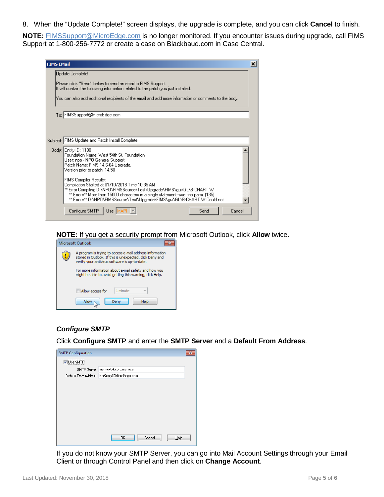8. When the "Update Complete!" screen displays, the upgrade is complete, and you can click **Cancel** to finish.

**NOTE:** [FIMSSupport@MicroEdge.com](mailto:FIMSSupport@MicroEdge.com) is no longer monitored. If you encounter issues during upgrade, call FIMS Support at 1-800-256-7772 or create a case on Blackbaud.com in Case Central.

| <b>FIMS EMail</b><br>× |                                                                                                                                                                                                                                                                                                                                 |  |  |
|------------------------|---------------------------------------------------------------------------------------------------------------------------------------------------------------------------------------------------------------------------------------------------------------------------------------------------------------------------------|--|--|
|                        | Update Complete!                                                                                                                                                                                                                                                                                                                |  |  |
|                        | Please click "Send" below to send an email to FIMS Support.<br>It will contain the following information related to the patch you just installed.                                                                                                                                                                               |  |  |
|                        | You can also add additional recipients of the email and add more information or comments to the body.                                                                                                                                                                                                                           |  |  |
|                        | To: FIMSSupport@MicroEdge.com                                                                                                                                                                                                                                                                                                   |  |  |
|                        |                                                                                                                                                                                                                                                                                                                                 |  |  |
|                        |                                                                                                                                                                                                                                                                                                                                 |  |  |
|                        | Subject: FIMS Update and Patch Install Complete                                                                                                                                                                                                                                                                                 |  |  |
|                        | Body: Entity ID: 1190<br>Foundation Name: West 54th St. Foundation<br>User: npo - NPO General Support<br>Patch Name: FIMS 14.6-64 Upgrade.<br>Version prior to patch: 14.50                                                                                                                                                     |  |  |
|                        | <b>FIMS Compiler Results:</b><br>Compilation Started at 01/10/2018 Time 10:35 AM<br>** Error Compiling D:\NPO\FIMSSource\Test\Upgrade\FIMS\gui\GL\B-CHART.W<br>** Error=** More than 15000 characters in a single statement--use -inp parm. (135)<br>** Error=** D:\NPO\FIMSSource\Test\Upgrade\FIMS\gui\GL\B-CHART.W Could not |  |  |
|                        | Configure SMTP<br>Use: IMAP<br>Send<br>Cancel                                                                                                                                                                                                                                                                                   |  |  |

**NOTE:** If you get a security prompt from Microsoft Outlook, click **Allow** twice.

| Microsoft Outlook                                                                                                                                                     |  |
|-----------------------------------------------------------------------------------------------------------------------------------------------------------------------|--|
| A program is trying to access e-mail address information<br>stored in Outlook. If this is unexpected, click Deny and<br>verify your antivirus software is up-to-date. |  |
| For more information about e-mail safety and how you                                                                                                                  |  |
| might be able to avoid getting this warning, click Help.                                                                                                              |  |
|                                                                                                                                                                       |  |
| 1 minute<br>Allow access for                                                                                                                                          |  |
| Allow<br>Help<br>Deny                                                                                                                                                 |  |

### *Configure SMTP*

Click **Configure SMTP** and enter the **SMTP Server** and a **Default From Address**.

| <b>SMTP Configuration</b> |                                             |  |
|---------------------------|---------------------------------------------|--|
| <br>V Use SMTP            |                                             |  |
|                           | SMTP Server: menyex04.corp.me.local         |  |
|                           | Default From Address: NoReply@MicroEdge.com |  |
|                           |                                             |  |
|                           |                                             |  |
|                           |                                             |  |
|                           |                                             |  |
|                           |                                             |  |
|                           |                                             |  |
|                           |                                             |  |
|                           |                                             |  |
|                           | OK.<br>Cancel<br>Help                       |  |

If you do not know your SMTP Server, you can go into Mail Account Settings through your Email Client or through Control Panel and then click on **Change Account**.